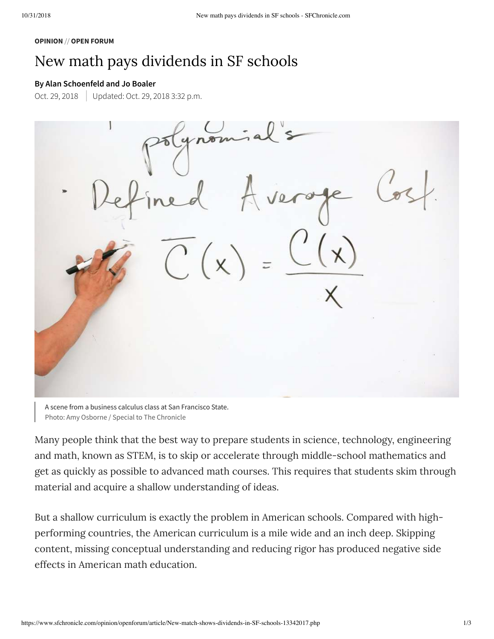#### **OPINION** // **OPEN FORUM**

## New math pays dividends in SF schools

### **By Alan Schoenfeld and Jo Boaler**

Oct. 29, 2018 Updated: Oct. 29, 2018 3:32 p.m.

A scene from a business calculus class at San Francisco State. Photo: Amy Osborne / Special to The Chronicle

Many people think that the best way to prepare students in science, technology, engineering and math, known as STEM, is to skip or accelerate through middle-school mathematics and get as quickly as possible to advanced math courses. This requires that students skim through material and acquire a shallow understanding of ideas.

But a shallow curriculum is exactly the problem in American schools. Compared with highperforming countries, the American curriculum is a mile wide and an inch deep. Skipping content, missing conceptual understanding and reducing rigor has produced negative side effects in American math education.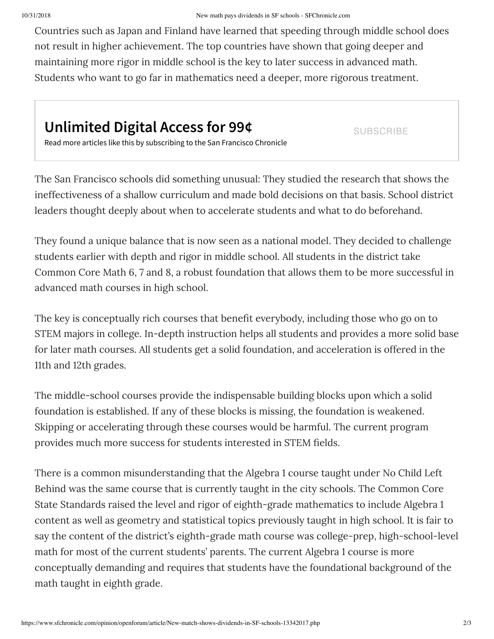Countries such as Japan and Finland have learned that speeding through middle school does not result in higher achievement. The top countries have shown that going deeper and maintaining more rigor in middle school is the key to later success in advanced math. Students who want to go far in mathematics need a deeper, more rigorous treatment.

# **Unlimited Digital Access for 99¢**

**SUBSCRIBE** 

Read more articles like this by subscribing to the San Francisco Chronicle

The San Francisco schools did something unusual: They studied the research that shows the ineffectiveness of a shallow curriculum and made bold decisions on that basis. School district leaders thought deeply about when to accelerate students and what to do beforehand.

They found a unique balance that is now seen as a national model. They decided to challenge students earlier with depth and rigor in middle school. All students in the district take Common Core Math 6, 7 and 8, a robust foundation that allows them to be more successful in advanced math courses in high school.

The key is conceptually rich courses that benefit everybody, including those who go on to STEM majors in college. In-depth instruction helps all students and provides a more solid base for later math courses. All students get a solid foundation, and acceleration is offered in the 11th and 12th grades.

The middle-school courses provide the indispensable building blocks upon which a solid foundation is established. If any of these blocks is missing, the foundation is weakened. Skipping or accelerating through these courses would be harmful. The current program provides much more success for students interested in STEM fields.

There is a common misunderstanding that the Algebra 1 course taught under No Child Left Behind was the same course that is currently taught in the city schools. The Common Core State Standards raised the level and rigor of eighth-grade mathematics to include Algebra 1 content as well as geometry and statistical topics previously taught in high school. It is fair to say the content of the district's eighth-grade math course was college-prep, high-school-level math for most of the current students' parents. The current Algebra 1 course is more conceptually demanding and requires that students have the foundational background of the math taught in eighth grade.